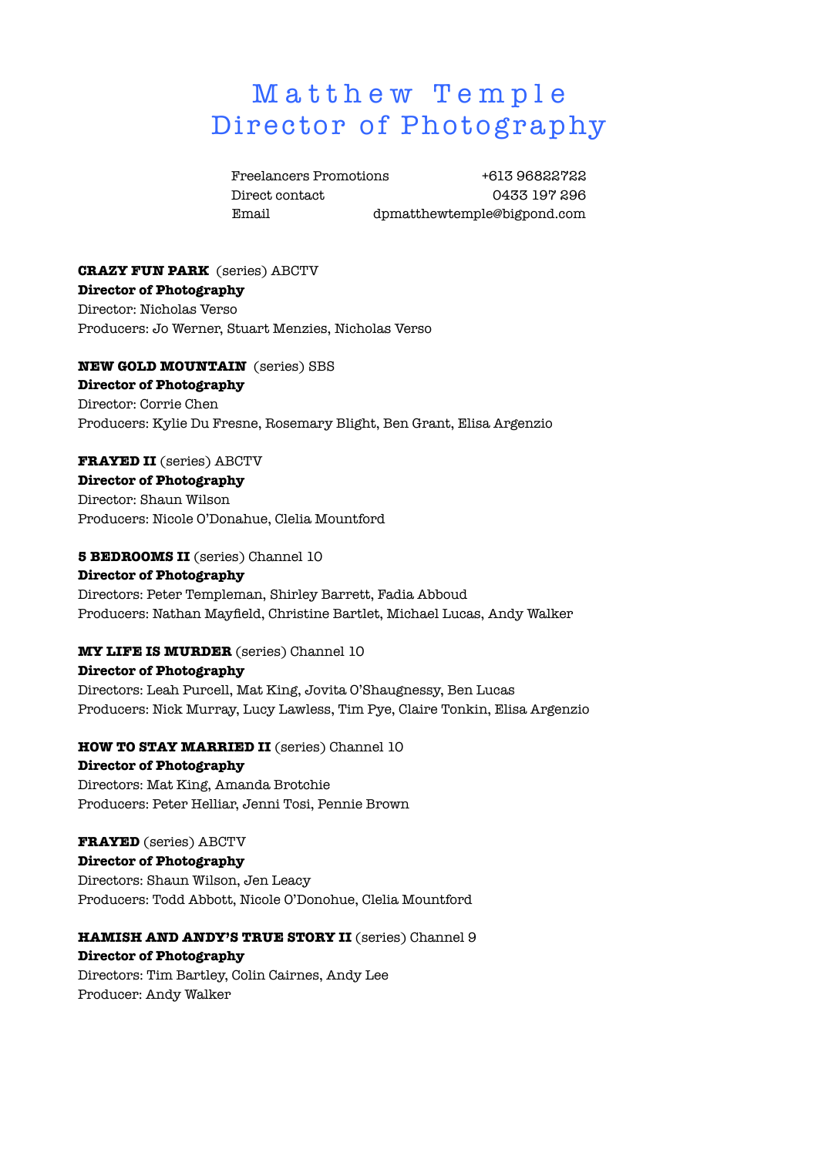# Matthew Temple Director of Photography

Freelancers Promotions +613 96822722 Direct contact 0433 197 296 Email dpmatthewtemple@bigpond.com

### **CRAZY FUN PARK** (series) ABCTV **Director of Photography** Director: Nicholas Verso Producers: Jo Werner, Stuart Menzies, Nicholas Verso

**NEW GOLD MOUNTAIN** (series) SBS **Director of Photography** Director: Corrie Chen Producers: Kylie Du Fresne, Rosemary Blight, Ben Grant, Elisa Argenzio

### **FRAYED II** (series) ABCTV

**Director of Photography** Director: Shaun Wilson Producers: Nicole O'Donahue, Clelia Mountford

### **5 BEDROOMS II** (series) Channel 10

**Director of Photography** Directors: Peter Templeman, Shirley Barrett, Fadia Abboud Producers: Nathan Mayfield, Christine Bartlet, Michael Lucas, Andy Walker

### **MY LIFE IS MURDER** (series) Channel 10

### **Director of Photography**

Directors: Leah Purcell, Mat King, Jovita O'Shaugnessy, Ben Lucas Producers: Nick Murray, Lucy Lawless, Tim Pye, Claire Tonkin, Elisa Argenzio

### **HOW TO STAY MARRIED II** (series) Channel 10

### **Director of Photography**

Directors: Mat King, Amanda Brotchie Producers: Peter Helliar, Jenni Tosi, Pennie Brown

### **FRAYED** (series) ABCTV

**Director of Photography** Directors: Shaun Wilson, Jen Leacy Producers: Todd Abbott, Nicole O'Donohue, Clelia Mountford

### **HAMISH AND ANDY'S TRUE STORY II** (series) Channel 9

### **Director of Photography**

Directors: Tim Bartley, Colin Cairnes, Andy Lee Producer: Andy Walker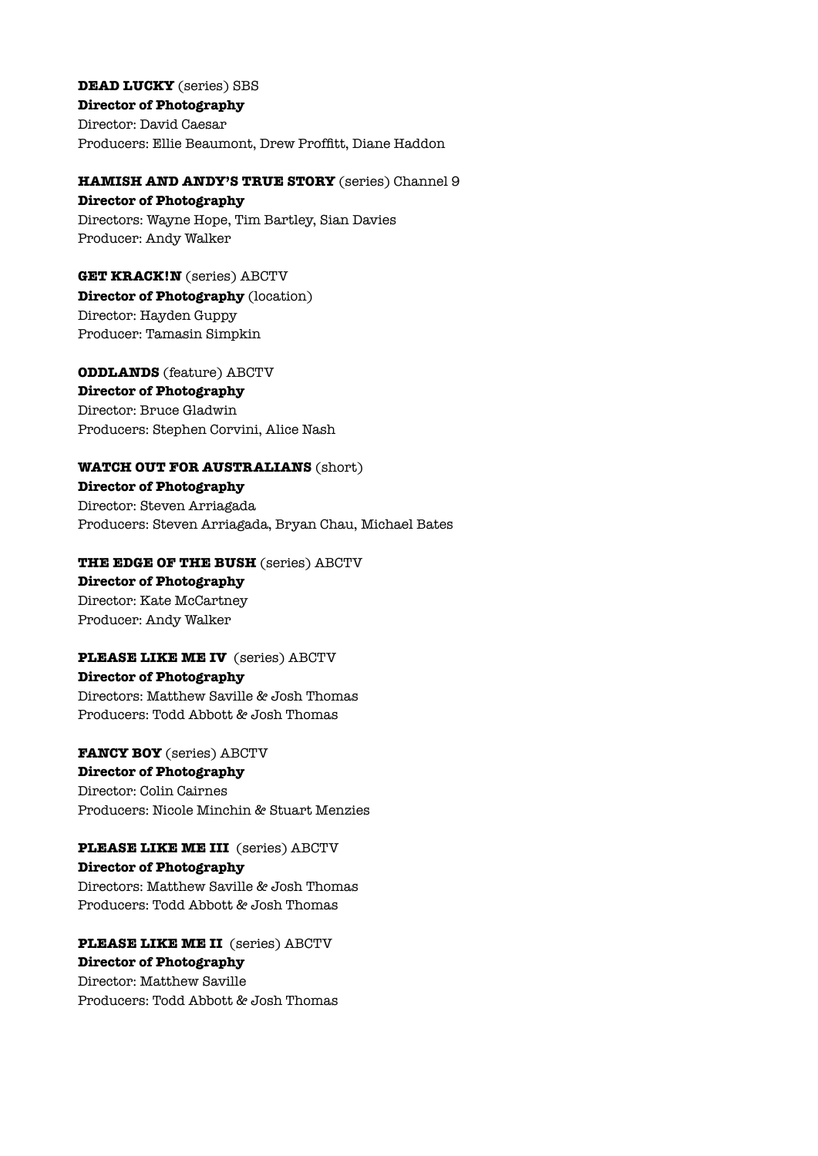**DEAD LUCKY** (series) SBS **Director of Photography** Director: David Caesar Producers: Ellie Beaumont, Drew Proffitt, Diane Haddon

**HAMISH AND ANDY'S TRUE STORY** (series) Channel 9

**Director of Photography** Directors: Wayne Hope, Tim Bartley, Sian Davies Producer: Andy Walker

**GET KRACK!N** (series) ABCTV **Director of Photography** (location) Director: Hayden Guppy Producer: Tamasin Simpkin

**ODDLANDS** (feature) ABCTV **Director of Photography** Director: Bruce Gladwin Producers: Stephen Corvini, Alice Nash

### **WATCH OUT FOR AUSTRALIANS** (short)

**Director of Photography** Director: Steven Arriagada Producers: Steven Arriagada, Bryan Chau, Michael Bates

### **THE EDGE OF THE BUSH** (series) ABCTV

**Director of Photography** Director: Kate McCartney Producer: Andy Walker

### **PLEASE LIKE ME IV** (series) ABCTV

### **Director of Photography**

Directors: Matthew Saville & Josh Thomas Producers: Todd Abbott & Josh Thomas

## **FANCY BOY** (series) ABCTV

**Director of Photography** Director: Colin Cairnes Producers: Nicole Minchin & Stuart Menzies

**PLEASE LIKE ME III** (series) ABCTV **Director of Photography** Directors: Matthew Saville & Josh Thomas Producers: Todd Abbott & Josh Thomas

**PLEASE LIKE ME II** (series) ABCTV **Director of Photography** Director: Matthew Saville Producers: Todd Abbott & Josh Thomas